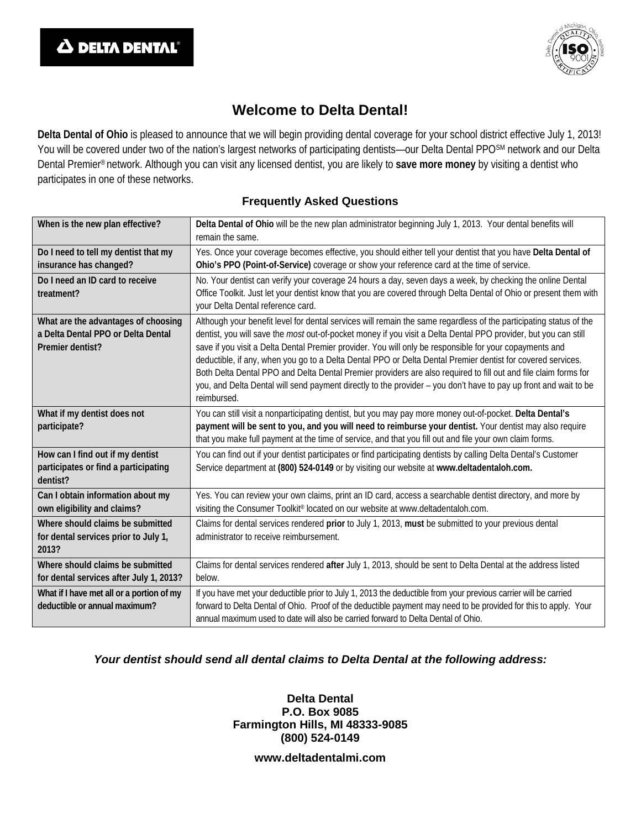

# **Welcome to Delta Dental!**

**Delta Dental of Ohio** is pleased to announce that we will begin providing dental coverage for your school district effective July 1, 2013! You will be covered under two of the nation's largest networks of participating dentists—our Delta Dental PPO<sup>SM</sup> network and our Delta Dental Premier® network. Although you can visit any licensed dentist, you are likely to **save more money** by visiting a dentist who participates in one of these networks.

### **Frequently Asked Questions**

| When is the new plan effective?                                                               | Delta Dental of Ohio will be the new plan administrator beginning July 1, 2013. Your dental benefits will<br>remain the same.                                                                                                                                                                                                                                                                                                                                                                                                                                                                                                                                                                                         |  |  |  |  |
|-----------------------------------------------------------------------------------------------|-----------------------------------------------------------------------------------------------------------------------------------------------------------------------------------------------------------------------------------------------------------------------------------------------------------------------------------------------------------------------------------------------------------------------------------------------------------------------------------------------------------------------------------------------------------------------------------------------------------------------------------------------------------------------------------------------------------------------|--|--|--|--|
| Do I need to tell my dentist that my<br>insurance has changed?                                | Yes. Once your coverage becomes effective, you should either tell your dentist that you have Delta Dental of<br>Ohio's PPO (Point-of-Service) coverage or show your reference card at the time of service.                                                                                                                                                                                                                                                                                                                                                                                                                                                                                                            |  |  |  |  |
| Do I need an ID card to receive<br>treatment?                                                 | No. Your dentist can verify your coverage 24 hours a day, seven days a week, by checking the online Dental<br>Office Toolkit. Just let your dentist know that you are covered through Delta Dental of Ohio or present them with<br>your Delta Dental reference card.                                                                                                                                                                                                                                                                                                                                                                                                                                                  |  |  |  |  |
| What are the advantages of choosing<br>a Delta Dental PPO or Delta Dental<br>Premier dentist? | Although your benefit level for dental services will remain the same regardless of the participating status of the<br>dentist, you will save the most out-of-pocket money if you visit a Delta Dental PPO provider, but you can still<br>save if you visit a Delta Dental Premier provider. You will only be responsible for your copayments and<br>deductible, if any, when you go to a Delta Dental PPO or Delta Dental Premier dentist for covered services.<br>Both Delta Dental PPO and Delta Dental Premier providers are also required to fill out and file claim forms for<br>you, and Delta Dental will send payment directly to the provider - you don't have to pay up front and wait to be<br>reimbursed. |  |  |  |  |
| What if my dentist does not<br>participate?                                                   | You can still visit a nonparticipating dentist, but you may pay more money out-of-pocket. Delta Dental's<br>payment will be sent to you, and you will need to reimburse your dentist. Your dentist may also require<br>that you make full payment at the time of service, and that you fill out and file your own claim forms.                                                                                                                                                                                                                                                                                                                                                                                        |  |  |  |  |
| How can I find out if my dentist<br>participates or find a participating<br>dentist?          | You can find out if your dentist participates or find participating dentists by calling Delta Dental's Customer<br>Service department at (800) 524-0149 or by visiting our website at www.deltadentaloh.com.                                                                                                                                                                                                                                                                                                                                                                                                                                                                                                          |  |  |  |  |
| Can I obtain information about my<br>own eligibility and claims?                              | Yes. You can review your own claims, print an ID card, access a searchable dentist directory, and more by<br>visiting the Consumer Toolkit® located on our website at www.deltadentaloh.com.                                                                                                                                                                                                                                                                                                                                                                                                                                                                                                                          |  |  |  |  |
| Where should claims be submitted<br>for dental services prior to July 1,<br>2013?             | Claims for dental services rendered prior to July 1, 2013, must be submitted to your previous dental<br>administrator to receive reimbursement.                                                                                                                                                                                                                                                                                                                                                                                                                                                                                                                                                                       |  |  |  |  |
| Where should claims be submitted<br>for dental services after July 1, 2013?                   | Claims for dental services rendered after July 1, 2013, should be sent to Delta Dental at the address listed<br>below.                                                                                                                                                                                                                                                                                                                                                                                                                                                                                                                                                                                                |  |  |  |  |
| What if I have met all or a portion of my<br>deductible or annual maximum?                    | If you have met your deductible prior to July 1, 2013 the deductible from your previous carrier will be carried<br>forward to Delta Dental of Ohio. Proof of the deductible payment may need to be provided for this to apply. Your<br>annual maximum used to date will also be carried forward to Delta Dental of Ohio.                                                                                                                                                                                                                                                                                                                                                                                              |  |  |  |  |

#### *Your dentist should send all dental claims to Delta Dental at the following address:*

#### **Delta Dental P.O. Box 9085 Farmington Hills, MI 48333-9085 (800) 524-0149**

**www.deltadentalmi.com**